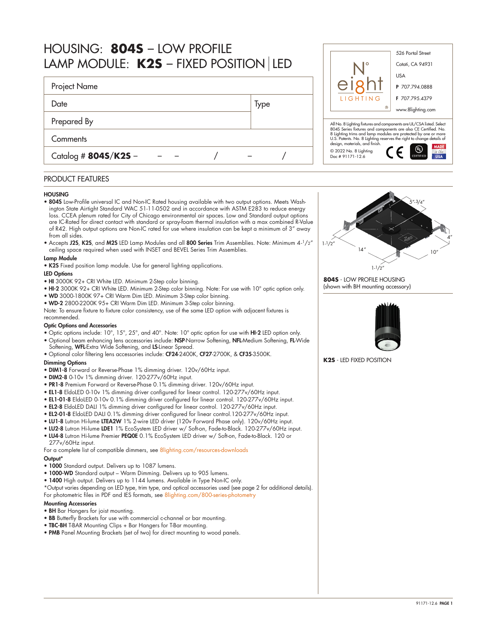| HOUSING: 8045 - LOW PROFILE             |  |  |
|-----------------------------------------|--|--|
| LAMP MODULE: $K2S$ – FIXED POSITION LED |  |  |

| LAMP MODULE: $K25 - HXED$ POSITION LED | Cotati, CA 94931             |                                                                                                                                                                          |                           |
|----------------------------------------|------------------------------|--------------------------------------------------------------------------------------------------------------------------------------------------------------------------|---------------------------|
| Project Name                           | <b>USA</b><br>P 707.794.0888 |                                                                                                                                                                          |                           |
| Date                                   | Type                         | LIGHTING<br>F 707.795.4379<br>$^{\circ}$<br>www.8lighting.com                                                                                                            |                           |
| Prepared By                            |                              | All No. 8 Lighting fixtures and components are UL/CSA listed. Select<br>804S Series fixtures and components are also CE Certified. No.                                   |                           |
| Comments                               |                              | 8 Lighting trims and lamp modules are protected by one or more<br>U.S. Patents. No. 8 Lighting reserves the right to change details of<br>design, materials, and finish. |                           |
| Catalog # 8045/K25 -                   |                              | ை<br>© 2022 No. 8 Lighting<br>Doc # 91171-12.6                                                                                                                           | <b>MADE</b><br><b>USA</b> |

## PRODUCT FEATURES

#### HOUSING

- 804S Low-Profile universal IC and Non-IC Rated housing available with two output options. Meets Washington State Airtight Standard WAC 51-11-0502 and in accordance with ASTM E283 to reduce energy loss. CCEA plenum rated for City of Chicago environmental air spaces. Low and Standard output options are IC-Rated for direct contact with standard or spray-foam thermal insulation with a max combined R-Value of R42. High output options are Non-IC rated for use where insulation can be kept a minimum of 3" away from all sides.
- Accepts J2S, K2S, and M2S LED Lamp Modules and all 800 Series Trim Assemblies. Note: Minimum  $4\cdot 1/2$ " ceiling space required when used with INSET and BEVEL Series Trim Assemblies.

# Lamp Module

• K2S Fixed position lamp module. Use for general lighting applications.

#### LED Options

- HI 3000K 92+ CRI White LED. Minimum 2-Step color binning.
- HI-2 3000K 92+ CRI White LED. Minimum 2-Step color binning. Note: For use with 10° optic option only.
- WD 3000-1800K 97+ CRI Warm Dim LED. Minimum 3-Step color binning.
- WD-2 2800-2200K 95+ CRI Warm Dim LED. Minimum 3-Step color binning.

Note: To ensure fixture to fixture color consistency, use of the same LED option with adjacent fixtures is recommended.

### Optic Options and Accessories

- Optic options include: 10°, 15°, 25°, and 40°. Note: 10° optic option for use with HI-2 LED option only. • Optional beam enhancing lens accessories include: NSP-Narrow Softening, NFL-Medium Softening, FL-Wide
- Softening, WFL-Extra Wide Softening, and LS-Linear Spread.
- Optional color filtering lens accessories include: CF24-2400K, CF27-2700K, & CF35-3500K.

## Dimming Options

- DIM1-8 Forward or Reverse-Phase 1% dimming driver. 120v/60Hz input.
- DIM2-8 0-10v 1% dimming driver. 120-277v/60Hz input.
- PR1-8 Premium Forward or Reverse-Phase 0.1% dimming driver. 120v/60Hz input.
- EL1-8 EldoLED 0-10v 1% dimming driver configured for linear control. 120-277v/60Hz input.
- EL1-01-8 EldoLED 0-10v 0.1% dimming driver configured for linear control. 120-277v/60Hz input.
- EL2-8 EldoLED DALI 1% dimming driver configured for linear control. 120-277v/60Hz input.
- EL2-01-8 EldoLED DALI 0.1% dimming driver configured for linear control.120-277v/60Hz input.
- LU1-8 Lutron Hi-lume LTEA2W 1% 2-wire LED driver (120v Forward Phase only). 120v/60Hz input.
- LU2-8 Lutron Hi-lume LDE1 1% EcoSystem LED driver w/ Soft-on, Fade-to-Black. 120-277v/60Hz input.
- LU4-8 Lutron Hi-lume Premier PEQ0E 0.1% EcoSystem LED driver w/ Soft-on, Fade-to-Black. 120 or
- 277v/60Hz input. For a complete list of compatible dimmers, see [8lighting.com/resources-downloads](https://8lighting.com/resources-downloads/)

## Output\*

- 1000 Standard output. Delivers up to 1087 lumens.
- 1000-WD Standard output Warm Dimming. Delivers up to 905 lumens.
- 1400 High output. Delivers up to 1144 lumens. Available in Type Non-IC only.
- \*Output varies depending on LED type, trim type, and optical accessories used (see page 2 for additional details). For photometric files in PDF and IES formats, see [8lighting.com/800-series-photometry](https://8lighting.com/800-series-photometry/)

# Mounting Accessories

- BH Bar Hangers for joist mounting.
- BB Butterfly Brackets for use with commercial c-channel or bar mounting.
- TBC-BH T-BAR Mounting Clips + Bar Hangers for T-Bar mounting.
- PMB Panel Mounting Brackets (set of two) for direct mounting to wood panels.



526 Portal Street

**804S** - LOW PROFILE HOUSING (shown with BH mounting accessory)

 $\mathbf{A}$   $\mathbf{I}^{\circ}$ 

 $1.1/2$ 



**K2S** - LED FIXED POSITION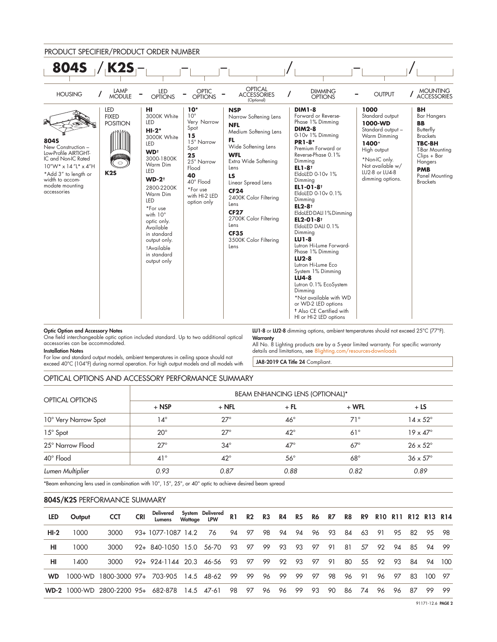

### Optic Option and Accessory Notes

One field interchangeable optic option included standard. Up to two additional optical accessories can be accommodated.

Installation Notes

For low and standard output models, ambient temperatures in ceiling space should not exceed 40°C (104°F) during normal operation. For high output models and all models with

LU1-8 or LU2-8 dimming options, ambient temperatures should not exceed 25°C (77°F). **Warranty** 

All No. 8 Lighting products are by a 5-year limited warranty. For specific warranty details and limitations, see 8lighting.com/resources-downl

## JA8-2019 CA Title 24 Compliant.

OPTICAL OPTIONS AND ACCESSORY PERFORMANCE SUMMARY

OPTICAL OPTIONS 10° Very Narrow Spot 14°  $14^{\circ}$  27°  $46^{\circ}$   $71^{\circ}$  14  $x 52^{\circ}$  $15^\circ$  Spot  $19\times 47^\circ$   $20^\circ$   $27^\circ$   $42^\circ$   $40^\circ$   $61^\circ$   $19\times 47^\circ$  $25^{\circ}$  Narrow Flood 27°  $34^{\circ}$   $47^{\circ}$   $67^{\circ}$   $26 \times 52^{\circ}$  $^{40^{\circ}}$  Flood  $^{41^{\circ}}$   $^{41^{\circ}}$   $^{42^{\circ}}$   $^{56^{\circ}}$   $^{68^{\circ}}$   $^{68^{\circ}}$   $^{36\times57^{\circ}}$ *Lumen Multiplier 0.93 0.87 0.88 0.82 0.89* BEAM ENHANCING LENS (OPTIONAL)\*  $+$  NSP  $+$  NFL  $+$  FL  $+$  WFL  $+$  LS

\*Beam enhancing lens used in combination with 10°, 15°, 25°, or 40° optic to achieve desired beam spread

# 804S/K2S PERFORMANCE SUMMARY

| <b>LED</b> | Output | <b>CCT</b>                                  | <b>CRI</b> | Delivered                        | Wattage LPW | System Delivered |    |      |       |          |      |    |      |       |      | R1 R2 R3 R4 R5 R6 R7 R8 R9 R10 R11 R12 R13 R14 |    |      |           |        |
|------------|--------|---------------------------------------------|------------|----------------------------------|-------------|------------------|----|------|-------|----------|------|----|------|-------|------|------------------------------------------------|----|------|-----------|--------|
| $HI-2$     | 1000   | 3000                                        |            | 93+ 1077-1087 14.2               |             | -76              |    |      |       |          |      |    |      |       |      | 94 97 98 94 94 96 93 84 63 91 95 82 95 98      |    |      |           |        |
| HI         | 1000   | 3000                                        |            | 92+ 840-1050 15.0 56-70 93 97 99 |             |                  |    |      |       | 93 93 97 |      |    | - 91 | 81 57 |      | 92 94 85 94 99                                 |    |      |           |        |
| HI         | 1400   | 3000                                        |            | 92+ 924-1144 20.3 46-56 93 97 99 |             |                  |    |      |       | 92 93 97 |      |    | 91   |       |      | 80 55 92                                       | 93 |      | 84 94 100 |        |
| WD.        |        | 1000-WD 1800-3000 97+ 703-905 14.5 48-62 99 |            |                                  |             |                  |    | - 99 | 96 99 |          | - 99 | 97 | 98   | 96    | - 91 | 96 97                                          |    | 83   |           | 100 97 |
|            |        | WD-2 1000-WD 2800-2200 95+ 682-878          |            |                                  |             | 14.5 47-61       | 98 | 97   | 96    | 96       | 99   | 93 | 90   | 86    | -74  | - 96                                           | 96 | - 87 | 99.       | - 99   |